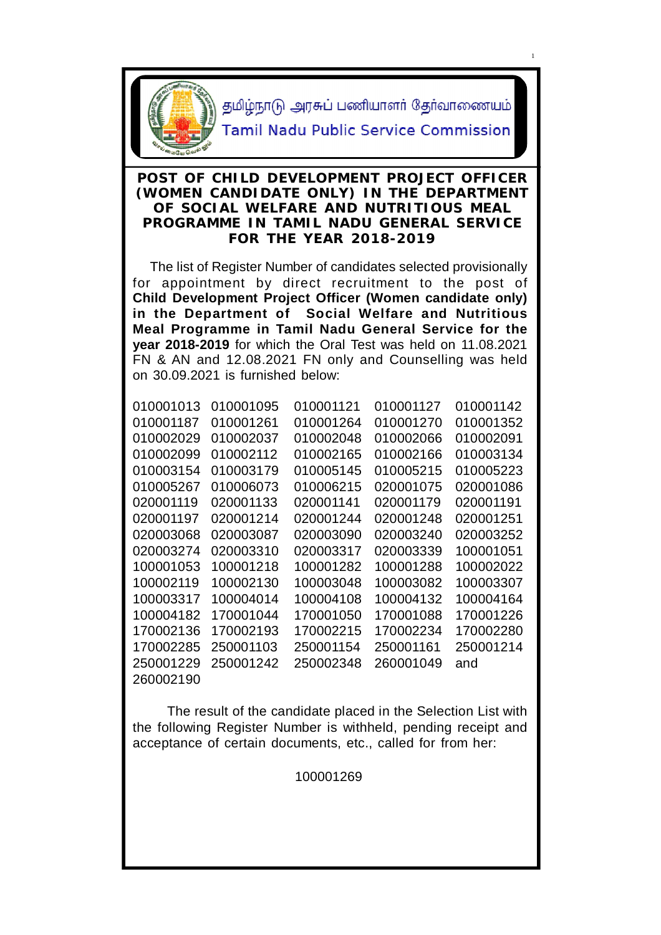

1

#### **POST OF CHILD DEVELOPMENT PROJECT OFFICER (WOMEN CANDIDATE ONLY) IN THE DEPARTMENT OF SOCIAL WELFARE AND NUTRITIOUS MEAL PROGRAMME IN TAMIL NADU GENERAL SERVICE FOR THE YEAR 2018-2019**

 The list of Register Number of candidates selected provisionally for appointment by direct recruitment to the post of **Child Development Project Officer (Women candidate only) in the Department of Social Welfare and Nutritious Meal Programme in Tamil Nadu General Service for the year 2018-2019** for which the Oral Test was held on 11.08.2021 FN & AN and 12.08.2021 FN only and Counselling was held on 30.09.2021 is furnished below:

| 010001013 | 010001095 | 010001121 | 010001127 | 010001142 |
|-----------|-----------|-----------|-----------|-----------|
| 010001187 | 010001261 | 010001264 | 010001270 | 010001352 |
| 010002029 | 010002037 | 010002048 | 010002066 | 010002091 |
| 010002099 | 010002112 | 010002165 | 010002166 | 010003134 |
| 010003154 | 010003179 | 010005145 | 010005215 | 010005223 |
| 010005267 | 010006073 | 010006215 | 020001075 | 020001086 |
| 020001119 | 020001133 | 020001141 | 020001179 | 020001191 |
| 020001197 | 020001214 | 020001244 | 020001248 | 020001251 |
| 020003068 | 020003087 | 020003090 | 020003240 | 020003252 |
| 020003274 | 020003310 | 020003317 | 020003339 | 100001051 |
| 100001053 | 100001218 | 100001282 | 100001288 | 100002022 |
| 100002119 | 100002130 | 100003048 | 100003082 | 100003307 |
| 100003317 | 100004014 | 100004108 | 100004132 | 100004164 |
| 100004182 | 170001044 | 170001050 | 170001088 | 170001226 |
| 170002136 | 170002193 | 170002215 | 170002234 | 170002280 |
| 170002285 | 250001103 | 250001154 | 250001161 | 250001214 |
| 250001229 | 250001242 | 250002348 | 260001049 | and       |
| 260002190 |           |           |           |           |
|           |           |           |           |           |

 The result of the candidate placed in the Selection List with the following Register Number is withheld, pending receipt and acceptance of certain documents, etc., called for from her:

100001269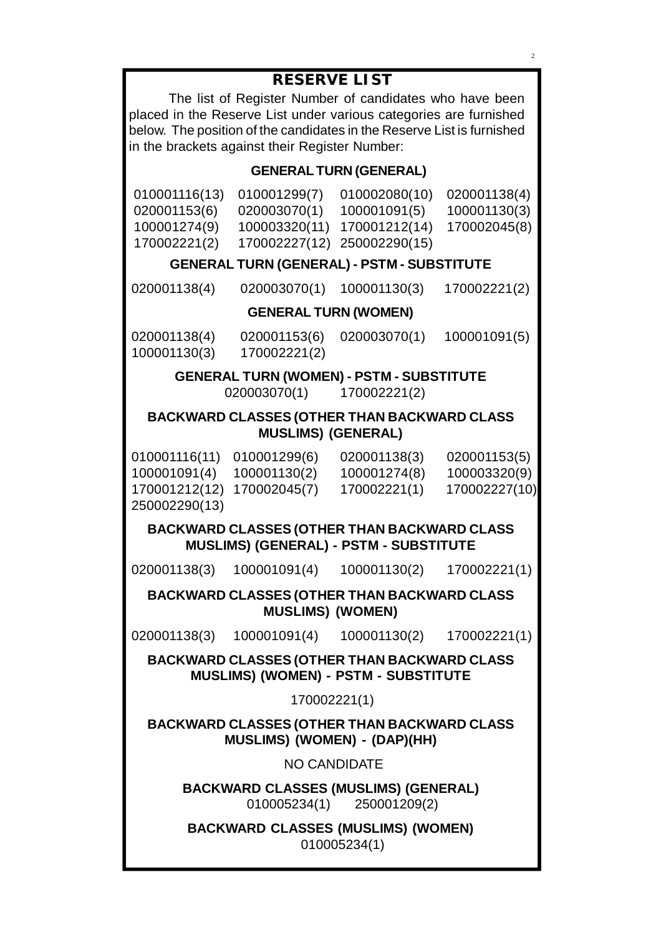# **RESERVE LIST**

The list of Register Number of candidates who have been placed in the Reserve List under various categories are furnished below. The position of the candidates in the Reserve List is furnished in the brackets against their Register Number:

### **GENERAL TURN (GENERAL)**

| 010001116(13) | 010001299(7)                | 010002080(10)               | 020001138(4) |
|---------------|-----------------------------|-----------------------------|--------------|
| 020001153(6)  | 020003070(1)                | 100001091(5)                | 100001130(3) |
| 100001274(9)  |                             | 100003320(11) 170001212(14) | 170002045(8) |
| 170002221(2)  | 170002227(12) 250002290(15) |                             |              |

### **GENERAL TURN (GENERAL) - PSTM - SUBSTITUTE**

020001138(4) 020003070(1) 100001130(3) 170002221(2)

#### **GENERAL TURN (WOMEN)**

100001130(3) 170002221(2)

020001138(4) 020001153(6) 020003070(1) 100001091(5)

#### **GENERAL TURN (WOMEN) - PSTM - SUBSTITUTE** 020003070(1) 170002221(2)

#### **BACKWARD CLASSES (OTHER THAN BACKWARD CLASS MUSLIMS) (GENERAL)**

010001116(11) 010001299(6) 020001138(3) 020001153(5) 100001091(4) 100001130(2) 100001274(8) 100003320(9) 170001212(12) 170002045(7) 170002221(1) 170002227(10) 250002290(13)

# **BACKWARD CLASSES (OTHER THAN BACKWARD CLASS MUSLIMS) (GENERAL) - PSTM - SUBSTITUTE**

020001138(3) 100001091(4) 100001130(2) 170002221(1)

**BACKWARD CLASSES (OTHER THAN BACKWARD CLASS MUSLIMS) (WOMEN)**

020001138(3) 100001091(4) 100001130(2) 170002221(1)

**BACKWARD CLASSES (OTHER THAN BACKWARD CLASS MUSLIMS) (WOMEN) - PSTM - SUBSTITUTE**

170002221(1)

**BACKWARD CLASSES (OTHER THAN BACKWARD CLASS MUSLIMS) (WOMEN) - (DAP)(HH)**

NO CANDIDATE

**BACKWARD CLASSES (MUSLIMS) (GENERAL)** 010005234(1) 250001209(2)

**BACKWARD CLASSES (MUSLIMS) (WOMEN)** 010005234(1)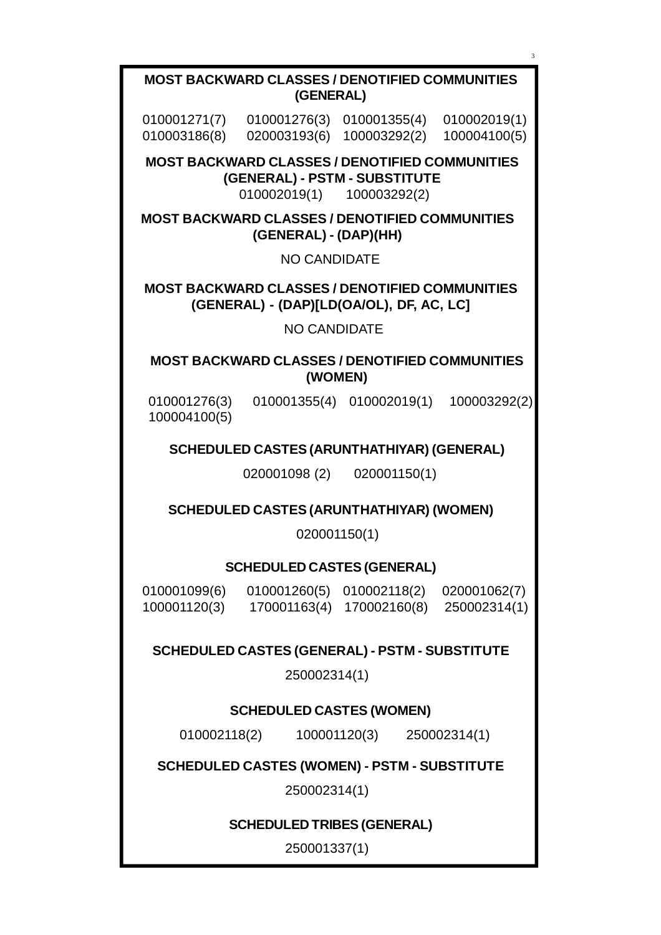**MOST BACKWARD CLASSES / DENOTIFIED COMMUNITIES (WOMEN)** 010001276(3) 010001355(4) 010002019(1) 100003292(2) 100004100(5) **SCHEDULED CASTES (ARUNTHATHIYAR) (GENERAL)** 020001098 (2) 020001150(1) **MOST BACKWARD CLASSES / DENOTIFIED COMMUNITIES (GENERAL) - (DAP)[LD(OA/OL), DF, AC, LC]** NO CANDIDATE **SCHEDULED CASTES (ARUNTHATHIYAR) (WOMEN)** 020001150(1) **SCHEDULED CASTES (GENERAL)** 010001099(6) 010001260(5) 010002118(2) 020001062(7) 100001120(3) 170001163(4) 170002160(8) 250002314(1) **SCHEDULED CASTES (GENERAL) - PSTM - SUBSTITUTE** 250002314(1) **SCHEDULED CASTES (WOMEN)** 010002118(2) 100001120(3) 250002314(1) **SCHEDULED CASTES (WOMEN) - PSTM - SUBSTITUTE** 250002314(1) **SCHEDULED TRIBES (GENERAL)** 250001337(1) **MOST BACKWARD CLASSES / DENOTIFIED COMMUNITIES (GENERAL) - (DAP)(HH)** NO CANDIDATE **MOST BACKWARD CLASSES / DENOTIFIED COMMUNITIES (GENERAL) - PSTM - SUBSTITUTE** 010002019(1) 100003292(2) **MOST BACKWARD CLASSES / DENOTIFIED COMMUNITIES (GENERAL)** 010001271(7) 010001276(3) 010001355(4) 010002019(1) 010003186(8) 020003193(6) 100003292(2) 100004100(5)

3